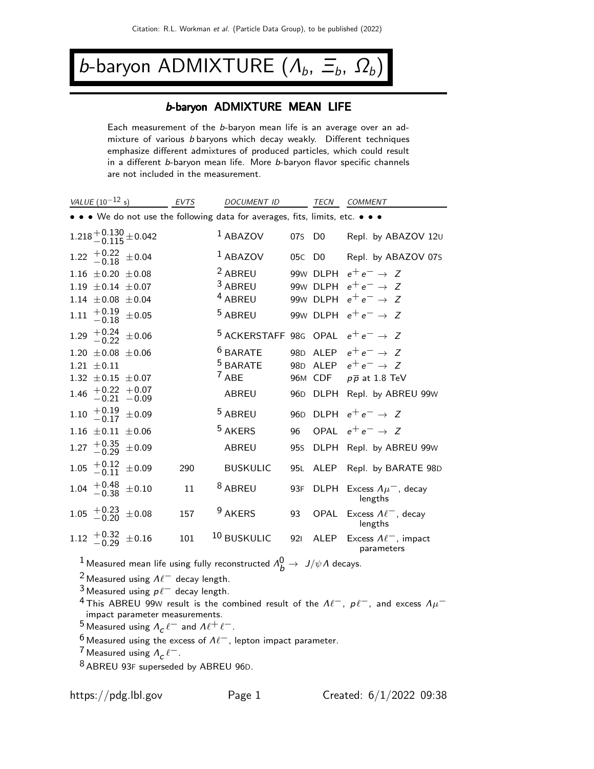b-baryon ADMIXTURE

#### b-baryon ADMIXTURE MEAN LIFE

Each measurement of the b-baryon mean life is an average over an admixture of various b baryons which decay weakly. Different techniques emphasize different admixtures of produced particles, which could result in a different b-baryon mean life. More b-baryon flavor specific channels are not included in the measurement.

|      | VALUE $(10^{-12} s)$                                        | <b>EVTS</b> | <b>DOCUMENT ID</b>                                                          |                 | TECN           | COMMENT                                    |
|------|-------------------------------------------------------------|-------------|-----------------------------------------------------------------------------|-----------------|----------------|--------------------------------------------|
|      |                                                             |             | • • We do not use the following data for averages, fits, limits, etc. • • • |                 |                |                                            |
|      | $1.218 + 0.130 + 0.042$                                     |             | $1$ ABAZOV                                                                  | 07 <sub>S</sub> | D <sub>0</sub> | Repl. by ABAZOV 12U                        |
|      | $1.22 \begin{array}{c} +0.22 \\ -0.18 \end{array}$<br>±0.04 |             | $1$ ABAZOV                                                                  | 05C             | D <sub>0</sub> | Repl. by ABAZOV 07S                        |
| 1.16 | $\pm$ 0.20 $\pm$ 0.08                                       |             | <sup>2</sup> ABREU                                                          |                 | 99w DLPH       | $e^+e^- \rightarrow Z$                     |
|      | 1.19 $\pm$ 0.14 $\pm$ 0.07                                  |             | 3 ABREU                                                                     |                 | 99w DLPH       | $e^+e^- \rightarrow Z$                     |
|      | $1.14 \pm 0.08 \pm 0.04$                                    |             | <sup>4</sup> ABREU                                                          |                 | 99w DLPH       | $e^+e^- \rightarrow Z$                     |
| 1.11 | $+0.19$<br>$-0.18$<br>$\pm 0.05$                            |             | <sup>5</sup> ABREU                                                          |                 | 99w DLPH       | $e^+e^- \rightarrow Z$                     |
| 1.29 | $+0.24$<br>-0.22<br>±0.06                                   |             | <sup>5</sup> ACKERSTAFF 98G OPAL                                            |                 |                | $e^+e^- \rightarrow Z$                     |
|      | $1.20 \pm 0.08 \pm 0.06$                                    |             | <sup>6</sup> BARATE                                                         |                 | 98D ALEP       | $e^+e^- \rightarrow Z$                     |
|      | $1.21 \pm 0.11$                                             |             | <sup>5</sup> BARATE                                                         | 98 <sub>D</sub> | ALEP           | $e^+e^- \rightarrow Z$                     |
|      | 1.32 $\pm$ 0.15 $\pm$ 0.07                                  |             | $7$ ABE                                                                     | 96 <sub>M</sub> | <b>CDF</b>     | $p\overline{p}$ at 1.8 TeV                 |
| 1.46 | $+0.22 +0.07$<br>-0.21 -0.09                                |             | ABREU                                                                       | 96 <sub>D</sub> | <b>DLPH</b>    | Repl. by ABREU 99W                         |
| 1.10 | $+0.19$<br>$-0.17$<br>±0.09                                 |             | <sup>5</sup> ABREU                                                          | 96 <sub>D</sub> | <b>DLPH</b>    | $e^+e^- \rightarrow Z$                     |
|      | $1.16 \pm 0.11 \pm 0.06$                                    |             | <sup>5</sup> AKERS                                                          | 96              | OPAL           | $e^+e^- \rightarrow Z$                     |
| 1.27 | $+0.35$<br>$-0.29$<br>±0.09                                 |             | <b>ABREU</b>                                                                | 95s             | <b>DLPH</b>    | Repl. by ABREU 99W                         |
| 1.05 | $+0.12$<br>$-0.11$<br>±0.09                                 | 290         | <b>BUSKULIC</b>                                                             | 95L             | ALEP           | Repl. by BARATE 98D                        |
| 1.04 | $+0.48$<br>$-0.38$<br>$\pm$ 0.10                            | 11          | <sup>8</sup> ABREU                                                          | 93F             | <b>DLPH</b>    | Excess $A\mu^{-}$ , decay<br>lengths       |
| 1.05 | $+0.23$<br>-0.20<br>±0.08                                   | 157         | <sup>9</sup> AKERS                                                          | 93              | <b>OPAL</b>    | Excess $\Lambda \ell^-$ , decay<br>lengths |
| 1.12 | $+0.32$<br>$-0.29$<br>$\pm 0.16$                            | 101         | <sup>10</sup> BUSKULIC                                                      | 921             | <b>ALEP</b>    | Excess $A\ell^-$ , impact<br>parameters    |

 $1$  Measured mean life using fully reconstructed  $\Lambda^0_b\to\ J/\psi\Lambda$  decays.

<sup>2</sup> Measured using  $\Lambda \ell^-$  decay length.

3 Measured using  $p\ell^-$  decay length.

<sup>4</sup> This ABREU 99W result is the combined result of the  $\Lambda \ell^-$ ,  $p \ell^-$ , and excess  $\Lambda \mu^$ impact parameter measurements.

<sup>5</sup> Measured using  $Λ_c \ell^-$  and  $Λ \ell^+ \ell^-$ .

 $\frac{6}{7}$  Measured using the excess of  $\Lambda\ell^-$ , lepton impact parameter.

<sup>7</sup> Measured using  $\Lambda_c e^-$ .

8 ABREU 93<sup>F</sup> superseded by ABREU 96D.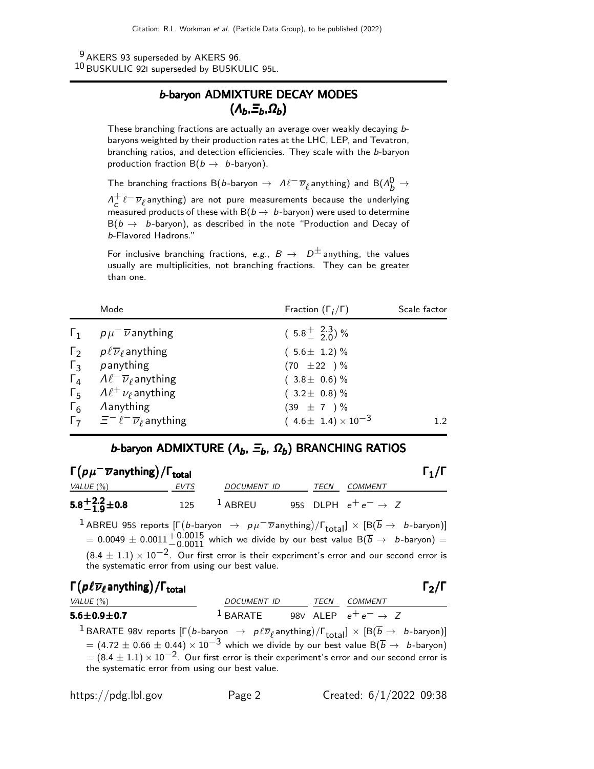<sup>9</sup> AKERS 93 superseded by AKERS 96. 10 BUSKULIC 92I superseded by BUSKULIC 95L.

### b-baryon ADMIXTURE DECAY MODES  $(\Lambda_b, \Xi_b, \Omega_b)$

These branching fractions are actually an average over weakly decaying bbaryons weighted by their production rates at the LHC, LEP, and Tevatron, branching ratios, and detection efficiencies. They scale with the b-baryon production fraction  $B(b \rightarrow b$ -baryon).

The branching fractions B(b-baryon  $\to$   $\mathcal{M}^-\overline{\nu}_\ell$ anything) and B( $\mathcal{M}^0_b$   $\to$ 

 $\Lambda_c^+ \, \ell^- \, \overline{\nu}_\ell$ anything) are not pure measurements because the underlying  $m_c$   $\epsilon$   $\nu$   $\ell$  anything) are not pure measurements because the underlying measured products of these with B( $b \rightarrow b$ -baryon) were used to determine  $B(b \rightarrow b$ -baryon), as described in the note "Production and Decay of b-Flavored Hadrons."

For inclusive branching fractions, e.g.,  $B \to D^{\pm}$  anything, the values usually are multiplicities, not branching fractions. They can be greater than one.

| Mode                                                                                                 | Fraction $(\Gamma_i/\Gamma)$                      | Scale factor  |
|------------------------------------------------------------------------------------------------------|---------------------------------------------------|---------------|
| $\Gamma_1$ $p\mu^-\overline{\nu}$ anything                                                           | $(5.8 \frac{+}{2} 3.3)$ %                         |               |
| $\Gamma_2$ $p\ell\overline{\nu}_\ell$ anything<br>$\Gamma_3$ panything                               | $(5.6 \pm 1.2) \%$                                |               |
| $\Gamma_4$ $\Lambda \ell^- \overline{\nu}_\ell$ anything                                             | $(70 \pm 22) \%$<br>$(3.8 \pm 0.6)\%$             |               |
| $\Gamma_5$ $\Lambda \ell^+ \nu_\ell$ anything                                                        | $(3.2 \pm 0.8)\%$                                 |               |
| $\Gamma_6$ <i>A</i> anything<br>$\Gamma_7$ $\equiv$ $\equiv$ $\ell$ $\overline{\nu}_{\ell}$ anything | $(39 \pm 7) \%$<br>$(4.6 \pm 1.4) \times 10^{-3}$ | $1.2^{\circ}$ |

### b-baryon ADMIXTURE  $(A_b, \Xi_b, \Omega_b)$  BRANCHING RATIOS

| $\Gamma(p\mu^-\overline{\nu}$ anything) / $\Gamma_{\rm total}$ |             |                      |  |             |                                 |  |
|----------------------------------------------------------------|-------------|----------------------|--|-------------|---------------------------------|--|
| VALUE (%)                                                      | <i>EVTS</i> | DOCUMENT ID          |  | <b>TECN</b> | COMMENT                         |  |
| $5.8^{+2.2}_{-1.9}$ ± 0.8                                      | 125         | $\overline{A}$ ABREU |  |             | 95s DLPH $e^+e^- \rightarrow Z$ |  |

1 ABREU 95S reports  $[\Gamma(b-\text{baryon}] \rightarrow p\mu^-\overline{\nu}$ anything)/ $\Gamma_{\text{total}}] \times [B(\overline{b} \rightarrow b-\text{baryon})]$  $\bar{p}= 0.0049 \pm 0.0011^{+0.0015}_{-0.0011}$  which we divide by our best value  $\hbox{B}(\overline{b} \rightarrow~b\hbox{-baryon})=0.0049$  $(8.4 \pm 1.1) \times 10^{-2}$ . Our first error is their experiment's error and our second error is the systematic error from using our best value.

| $\Gamma(\rho \ell \overline{\nu}_{\ell}$ anything) / $\Gamma_{\text{total}}$ |                      |  |             |                                 |  |
|------------------------------------------------------------------------------|----------------------|--|-------------|---------------------------------|--|
| VALUE (%)                                                                    | DOCUMENT ID          |  | <b>TFCN</b> | COMMENT                         |  |
| $5.6 \pm 0.9 \pm 0.7$                                                        | $\frac{1}{2}$ BARATE |  |             | 98V ALEP $e^+e^- \rightarrow Z$ |  |

**1** BARATE 98V reports  $[\Gamma(b\text{-}baryon \rightarrow p\ell\overline{\nu}_{\ell} \text{anything})/\Gamma_{\text{total}}] \times [B(\overline{b} \rightarrow b\text{-}baryon)]$  $= (4.72 \pm 0.66 \pm 0.44) \times 10^{-3}$  which we divide by our best value B( $\overline{b} \rightarrow b$ -baryon)  $= (8.4 \pm 1.1) \times 10^{-2}$ . Our first error is their experiment's error and our second error is the systematic error from using our best value.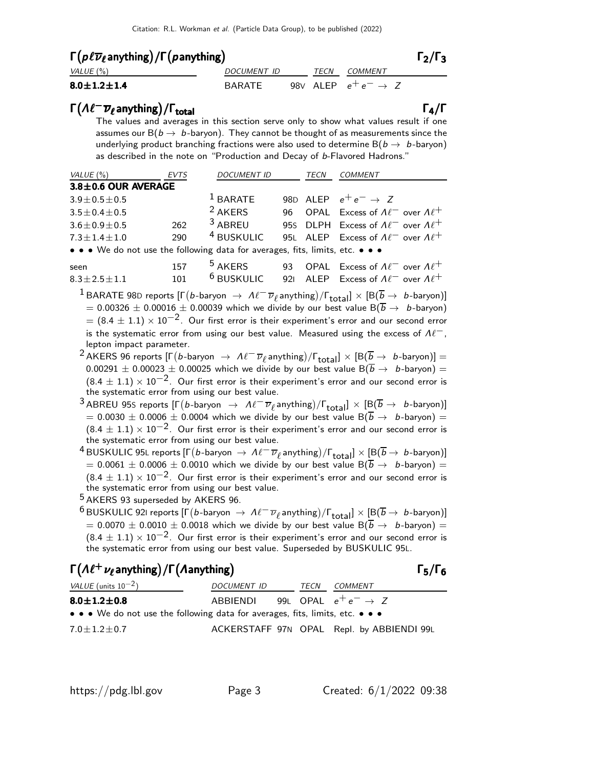## $\Gamma(p\ell\overline{\nu}_\ell$  anything)  $\Gamma_2/\Gamma_3$

| VALUE (%)             | <i>DOCUMENT ID</i> | TECN | COMMENT                         |
|-----------------------|--------------------|------|---------------------------------|
| $8.0 \pm 1.2 \pm 1.4$ | <b>BARATF</b>      |      | 98V ALEP $e^+e^- \rightarrow Z$ |

# $\Gamma(\Lambda \ell^- \overline{\nu}_\ell$  anything)/ $\Gamma_{\text{total}}$

The values and averages in this section serve only to show what values result if one assumes our B( $b \rightarrow b$ -baryon). They cannot be thought of as measurements since the underlying product branching fractions were also used to determine  $B(b \rightarrow b$ -baryon) as described in the note on "Production and Decay of b-Flavored Hadrons."

| VALUE (%)                                                                     | <b>EVTS</b> | <b>DOCUMENT ID</b>                 |           | TECN | COMMENT                                                                                                        |
|-------------------------------------------------------------------------------|-------------|------------------------------------|-----------|------|----------------------------------------------------------------------------------------------------------------|
| 3.8±0.6 OUR AVERAGE                                                           |             |                                    |           |      |                                                                                                                |
| $3.9 \pm 0.5 \pm 0.5$                                                         |             | $1$ BARATE                         |           |      | 98D ALEP $e^+e^- \rightarrow Z$                                                                                |
| $3.5 \pm 0.4 \pm 0.5$                                                         |             | $2$ AKERS                          |           |      | 96 OPAL Excess of $A\ell^-$ over $A\ell^+$                                                                     |
| $3.6 \pm 0.9 \pm 0.5$                                                         | 262         | $3$ ABREU                          |           |      | 955 DLPH Excess of $\Lambda \ell^-$ over $\Lambda \ell^+$                                                      |
| $7.3 \pm 1.4 \pm 1.0$                                                         | 290         | <sup>4</sup> BUSKULIC              |           |      | 95L ALEP Excess of $A\ell^-$ over $A\ell^+$                                                                    |
| • • • We do not use the following data for averages, fits, limits, etc. • • • |             |                                    |           |      |                                                                                                                |
| seen<br>$8.3 \pm 2.5 \pm 1.1$                                                 | 157<br>101  | <sup>5</sup> AKERS<br>$6$ BUSKULIC | 93<br>921 |      | OPAL Excess of $\Lambda \ell^-$ over $\Lambda \ell^+$<br>ALEP Excess of $\Lambda \ell^-$ over $\Lambda \ell^+$ |

 $^1$ BARATE 98D reports  $[\Gamma(b$ -baryon  $\;\rightarrow\;$   $\Lambda\ell^-\overline{\nu}_\ell$ anything) $/\Gamma_{\tt total}]\times[{\sf B}(\overline{\underline{b}}\to\;b$ -baryon)]  $= 0.00326 \pm 0.00016 \pm 0.00039$  which we divide by our best value B( $\overline{b} \rightarrow b$ -baryon)  $= (8.4 \pm 1.1) \times 10^{-2}$ . Our first error is their experiment's error and our second error is the systematic error from using our best value. Measured using the excess of  $\Lambda \ell^-$ , lepton impact parameter.

- $2$  AKERS 96 reports  $[\Gamma(b$ -baryon  $\rightarrow$   $\Lambda \ell^- \overline{\nu}_{\ell}$ anything)/ $\Gamma_{\text{total}}] \times [B(\overline{\underline{b}} \rightarrow$  b-baryon)] =  $0.00291 \pm 0.00023 \pm 0.00025$  which we divide by our best value B( $\overline{b} \rightarrow b$ -baryon) =  $(8.4 \pm 1.1) \times 10^{-2}$ . Our first error is their experiment's error and our second error is the systematic error from using our best value.
- $3$  ABREU 95S reports  $[\Gamma(b$ -baryon  $\rightarrow$   $\Lambda \ell^- \overline{\nu}_{\ell}$ anything)/ $\Gamma_{\text{total}}] \times [\underline{\mathsf{B}}(\overline{b} \rightarrow b$ -baryon)]  $= 0.0030 \pm 0.0006 \pm 0.0004$  which we divide by our best value B( $\overline{b} \rightarrow b$ -baryon) =  $(8.4 \pm 1.1) \times 10^{-2}$ . Our first error is their experiment's error and our second error is the systematic error from using our best value.
- $^4$ BUSKULIC 95L reports  $[\Gamma(b\text{-}baryon\rightarrow A\ell^-\overline{\nu}_\ell$ anything)/ $\Gamma_{\text{total}}]\times[\text{B}(\overline{b}\rightarrow b\text{-}baryon)]$  $= 0.0061 \pm 0.0006 \pm 0.0010$  which we divide by our best value B $(\overline{b} \rightarrow \ b$ -baryon)  $=$  $(8.4 \pm 1.1) \times 10^{-2}$ . Our first error is their experiment's error and our second error is the systematic error from using our best value.
- <sup>5</sup> AKERS 93 superseded by AKERS 96.
- $^6$ BUSKULIC 921 reports  $[\Gamma(b\text{-}baryon\ \to \ \Lambda\ell^-\overline{\nu}_\ell$ anything)/ $\Gamma_\text{total}]\times[\text{B}(\overline{b}\to \ b\text{-}baryon)]$  $= 0.0070 \pm 0.0010 \pm 0.0018$  which we divide by our best value B( $\overline{b} \rightarrow b$ -baryon) =  $(8.4 \pm 1.1) \times 10^{-2}$ . Our first error is their experiment's error and our second error is the systematic error from using our best value. Superseded by BUSKULIC 95L.

## $\Gamma(\Lambda \ell^+ \nu_\ell$ anything) / Γ $(\Lambda$ anything)  $\Gamma_5/\Gamma_6$

 $\Gamma_5/\Gamma_6$ 

| <i>VALUE</i> (units $10^{-2}$ )                                               | DOCUMENT ID |  | TECN | COMMENT                                   |  |  |
|-------------------------------------------------------------------------------|-------------|--|------|-------------------------------------------|--|--|
| $8.0 \pm 1.2 \pm 0.8$                                                         | ABBIENDI    |  |      | 99L OPAL $e^+e^- \rightarrow Z$           |  |  |
| • • • We do not use the following data for averages, fits, limits, etc. • • • |             |  |      |                                           |  |  |
| $7.0$ $\pm$ $1.2$ $\pm$ 0.7                                                   |             |  |      | ACKERSTAFF 97N OPAL Repl. by ABBIENDI 99L |  |  |

 $\Gamma_2/\Gamma_3$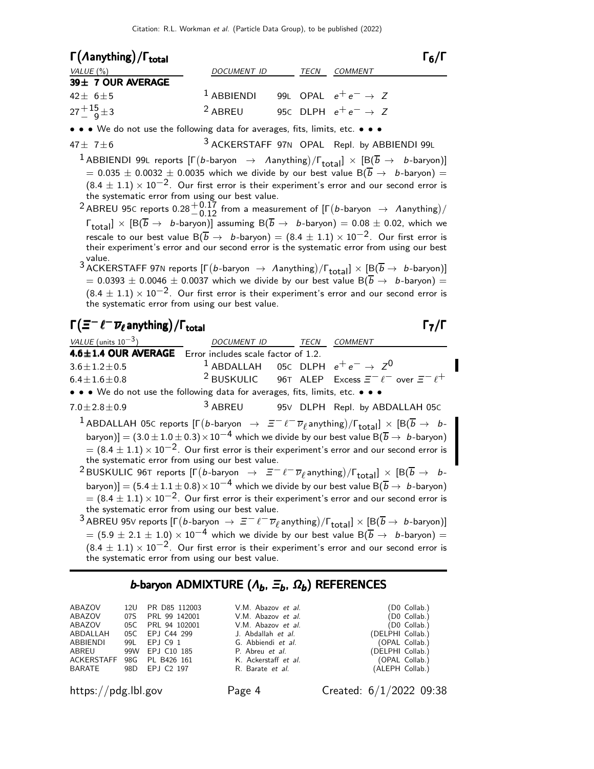| $\Gamma(\Lambda$ anything)/ $\Gamma_{\text{total}}$ |                    |  |      |                                 |  |  |
|-----------------------------------------------------|--------------------|--|------|---------------------------------|--|--|
| VALUE (%)                                           | <b>DOCUMENT ID</b> |  | TECN | COMMENT                         |  |  |
| 39± 7 OUR AVERAGE                                   |                    |  |      |                                 |  |  |
| $42+6+5$                                            | $1$ ABBIENDI       |  |      | 99L OPAL $e^+e^- \rightarrow Z$ |  |  |
| $27^{+15}_{-9}$ ± 3                                 | <sup>2</sup> ABREU |  |      | 95C DLPH $e^+e^- \rightarrow Z$ |  |  |

• • • We do not use the following data for averages, fits, limits, etc. • • •

47± 7±6 3 ACKERSTAFF 97<sup>N</sup> OPAL Repl. by ABBIENDI 99<sup>L</sup>

 $^1$  ABBIENDI 99L reports  $[\Gamma(b\text{-}baryon \ \rightarrow \ \Lambda$ anything $)/\Gamma_{\text{total}}] \ \times \ [\underline{\mathsf{B}}(\overline{b} \rightarrow \ b\text{-}baryon)]$  $=$  0.035  $\pm$  0.0032  $\pm$  0.0035 which we divide by our best value B( $\overline{b}$   $\rightarrow$   $\,$  b-baryon)  $=$  $(8.4 \pm 1.1) \times 10^{-2}$ . Our first error is their experiment's error and our second error is the systematic error from using our best value.

 $^2$ ABREU 95C reports  $0.28^{+0.17}_{-0.12}$  from a measurement of [Γ $(b$ -baryon  $\;\rightarrow$   $\;$  <code>Aanything</code>)/  $\Gamma_{\text{total}}] \times [\text{B}(\overline{b} \rightarrow b\text{-baryon})]$  assuming  $\text{B}(\overline{b} \rightarrow b\text{-baryon}) = 0.08 \pm 0.02$ , which we rescale to our best value B( $\overline{b} \rightarrow b$ -baryon) =  $(8.4 \pm 1.1) \times 10^{-2}$ . Our first error is their experiment's error and our second error is the systematic error from using our best value.

 $^3$ ACKERSTAFF 97N reports  $[\Gamma(b\text{-}baryon\;\;\rightarrow\;\Lambda\text{anything})/\Gamma_\text{total}]\times[\underline{\mathsf{B}}(\overline{b}\to\;\;b\text{-}baryon)]$  $=$  0.0393  $\pm$  0.0046  $\pm$  0.0037 which we divide by our best value B( $\overline{b}$   $\rightarrow$   $\,$  b-baryon)  $=$  $(8.4 \pm 1.1) \times 10^{-2}$ . Our first error is their experiment's error and our second error is the systematic error from using our best value.

# $\Gamma(\Xi^-\ell^-\overline{\nu}_\ell$  anything)  $/\Gamma_\mathrm{total}$   $\Gamma_\mathrm{2}$

VALUE (units 10<sup>-3</sup>) DOCUMENT ID TECN COMMENT **4.6** $\pm$ **1.4 OUR AVERAGE** Error includes scale factor of 1.2.<br>3.6 $\pm$ 1.2 $\pm$ 0.5 **CDLPH**  $\frac{1}{2}$  ABDALLAH 05C DLPH  $3.6 \pm 1.2 \pm 0.5$  $^1$  ABDALLAH 05C DLPH  $e^+e^- \rightarrow Z^0$  $6.4 \pm 1.6 \pm 0.8$ <sup>2</sup> BUSKULIC 96T ALEP Excess  $\bar{z}^- \ell^-$  over  $\bar{z}^- \ell^+$ • • • We do not use the following data for averages, fits, limits, etc. • • •  $7.0 \pm 2.8 \pm 0.9$ 3 ABREU 95<sup>V</sup> DLPH Repl. by ABDALLAH 05<sup>C</sup>  $^1$  ABDALLAH 05C reports  $[\Gamma(b\text{-}baryon\ \rightarrow\ \Xi^- \ell^-\overline{\nu}_\ell$  anything)/ $\Gamma_{\text{total}}]\times [\mathsf{B}(\overline{b}\rightarrow\ b\text{-}b])$ baryon)] =  $(3.0 \pm 1.0 \pm 0.3) \times 10^{-4}$  which we divide by our best value B( $\overline{b} \rightarrow b$ -baryon)  $= (8.4 \pm 1.1) \times 10^{-2}$ . Our first error is their experiment's error and our second error is the systematic error from using our best value. 2 BUSKULIC 96⊤ reports  $[\Gamma(b-baryon \rightarrow \equiv^- \ell^-\bar{\nu}_\ell)$ anything)/ $\Gamma_{total}$ ] × [B( $\bar{b}$  → bbaryon)] =  $(5.4 \pm 1.1 \pm 0.8) \times 10^{-4}$  which we divide by our best value B( $\overline{b} \rightarrow b$ -baryon)  $= (8.4 \pm 1.1) \times 10^{-2}$ . Our first error is their experiment's error and our second error is the systematic error from using our best value.  $\frac{3}{3}$ ABREU 95V reports  $[\Gamma(b\text{-}baryon\rightarrow\equiv^-l^-\frac{1}{2}\nu_e\text{anything})/\Gamma_\text{total}]\times[{\cal B}(\overline{b}\rightarrow\text{ b} \text{-}baryon)]$  $= (5.9 \pm 2.1 \pm 1.0) \times 10^{-4}$  which we divide by our best value B( $\overline{b} \rightarrow b$ -baryon) =  $(8.4 \pm 1.1) \times 10^{-2}$ . Our first error is their experiment's error and our second error is the systematic error from using our best value.

#### b-baryon ADMIXTURE ( $Λ_b$ , Ξ<sub>b</sub>, Ω<sub>b</sub>) REFERENCES

| ABAZOV                     | 12U PR D85 112003 | V.M. Abazov et al.        | (D0 Collab.)     |
|----------------------------|-------------------|---------------------------|------------------|
| ABAZOV                     | 07S PRL 99 142001 | V.M. Abazov et al.        | (D0 Collab.)     |
| ABAZOV                     | 05C PRL 94 102001 | V.M. Abazov et al.        | (D0 Collab.)     |
| ABDALLAH                   | 05C EPJ C44 299   | J. Abdallah <i>et al.</i> | (DELPHI Collab.) |
| ABBIENDI                   | 99L EPJ C9 1      | G. Abbiendi <i>et al.</i> | (OPAL Collab.)   |
| ABREU                      | 99W EPJ C10 185   | P. Abreu <i>et al.</i>    | (DELPHI Collab.) |
| ACKERSTAFF 98G PL B426 161 |                   | K. Ackerstaff et al.      | (OPAL Collab.)   |
| BARATE                     | 98D EPJ C2 197    | R. Barate et al.          | (ALEPH Collab.)  |
|                            |                   |                           |                  |